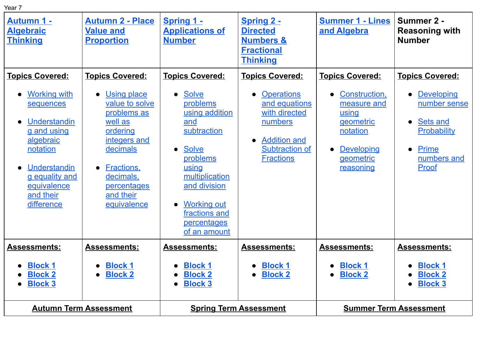| × |  |
|---|--|

| <b>Autumn 1 -</b><br><b>Algebraic</b><br><b>Thinking</b>                                                       | <b>Autumn 2 - Place</b><br><b>Value and</b><br><b>Proportion</b>                                     | Spring 1 -<br><b>Applications of</b><br><b>Number</b>                                                                                                                      | <b>Spring 2 -</b><br><b>Directed</b><br><b>Numbers &amp;</b><br><b>Fractional</b><br><b>Thinking</b> | <b>Summer 1 - Lines</b><br>and Algebra                                                   | Summer 2 -<br><b>Reasoning with</b><br><b>Number</b>                                                             |
|----------------------------------------------------------------------------------------------------------------|------------------------------------------------------------------------------------------------------|----------------------------------------------------------------------------------------------------------------------------------------------------------------------------|------------------------------------------------------------------------------------------------------|------------------------------------------------------------------------------------------|------------------------------------------------------------------------------------------------------------------|
| <b>Topics Covered:</b><br><b>Working with</b><br>sequences<br>Understandin<br>$\bullet$<br>g and using         | <b>Topics Covered:</b><br><b>Using place</b><br>value to solve<br>problems as<br>well as<br>ordering | <b>Topics Covered:</b><br><b>Solve</b><br>$\bullet$<br>problems<br>using addition<br>and<br>subtraction                                                                    | <b>Topics Covered:</b><br><b>Operations</b><br>and equations<br>with directed<br>numbers             | <b>Topics Covered:</b><br>Construction,<br>measure and<br>using<br>geometric<br>notation | <b>Topics Covered:</b><br><b>Developing</b><br>$\bullet$<br>number sense<br>Sets and<br>$\bullet$<br>Probability |
| algebraic<br>notation<br>Understandin<br>$\bullet$<br>g equality and<br>equivalence<br>and their<br>difference | integers and<br>decimals<br>Fractions.<br>decimals.<br>percentages<br>and their<br>equivalence       | <b>Solve</b><br>$\bullet$<br>problems<br>using<br>multiplication<br>and division<br><b>Working out</b><br>$\bullet$<br>fractions and<br><b>percentages</b><br>of an amount | <b>Addition and</b><br><b>Subtraction of</b><br><b>Fractions</b>                                     | <b>Developing</b><br>$\bullet$<br>geometric<br>reasoning                                 | <b>Prime</b><br>$\bullet$<br>numbers and<br>Proof                                                                |
| <b>Assessments:</b><br><b>Block 1</b><br><b>Block 2</b><br><b>Block 3</b>                                      | <b>Assessments:</b><br><b>Block 1</b><br><b>Block 2</b>                                              | <b>Assessments:</b><br><b>Block 1</b><br>$\bullet$<br><b>Block 2</b><br><b>Block 3</b><br>$\bullet$                                                                        | <b>Assessments:</b><br><b>Block 1</b><br><b>Block 2</b>                                              | <b>Assessments:</b><br><b>Block 1</b><br>$\bullet$<br><b>Block 2</b><br>$\bullet$        | <b>Assessments:</b><br><b>Block 1</b><br><b>Block 2</b><br><b>Block 3</b>                                        |
| <b>Autumn Term Assessment</b>                                                                                  |                                                                                                      | <b>Spring Term Assessment</b>                                                                                                                                              |                                                                                                      | <b>Summer Term Assessment</b>                                                            |                                                                                                                  |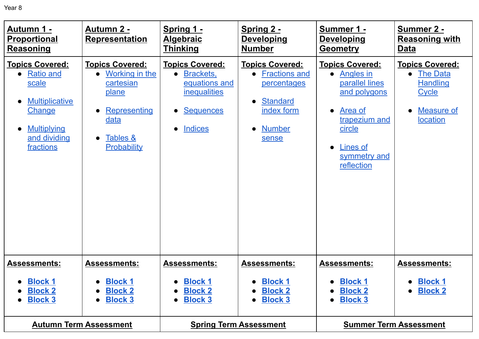| <b>Autumn 1 -</b><br><b>Proportional</b><br><b>Reasoning</b>                                                                                     | <b>Autumn 2 -</b><br><b>Representation</b>                                                                                                  | Spring 1 -<br><b>Algebraic</b><br><b>Thinking</b>                                                                                           | Spring 2 -<br><b>Developing</b><br><b>Number</b>                                                                                                   | Summer 1 -<br><b>Developing</b><br><b>Geometry</b>                                                                                                                 | <b>Summer 2 -</b><br><b>Reasoning with</b><br><b>Data</b>                                                                                      |
|--------------------------------------------------------------------------------------------------------------------------------------------------|---------------------------------------------------------------------------------------------------------------------------------------------|---------------------------------------------------------------------------------------------------------------------------------------------|----------------------------------------------------------------------------------------------------------------------------------------------------|--------------------------------------------------------------------------------------------------------------------------------------------------------------------|------------------------------------------------------------------------------------------------------------------------------------------------|
| <u><b>Topics Covered:</b></u><br><b>Ratio and</b><br>scale<br><b>Multiplicative</b><br>Change<br><b>Multiplying</b><br>and dividing<br>fractions | <b>Topics Covered:</b><br>Working in the<br>cartesian<br>plane<br>Representing<br>$\bullet$<br>data<br>Tables &<br>$\bullet$<br>Probability | <b>Topics Covered:</b><br>Brackets,<br>equations and<br><i>inequalities</i><br><b>Sequences</b><br>$\bullet$<br><b>Indices</b><br>$\bullet$ | <b>Topics Covered:</b><br><b>Fractions and</b><br>percentages<br><b>Standard</b><br>$\bullet$<br>index form<br><b>Number</b><br>$\bullet$<br>sense | <b>Topics Covered:</b><br>Angles in<br>parallel lines<br>and polygons<br>Area of<br>$\bullet$<br>trapezium and<br>circle<br>Lines of<br>symmetry and<br>reflection | <b>Topics Covered:</b><br><b>The Data</b><br>$\bullet$<br><b>Handling</b><br><b>Cycle</b><br><b>Measure of</b><br>$\bullet$<br><b>location</b> |
| <b>Assessments:</b>                                                                                                                              | Assessments:                                                                                                                                | <b>Assessments:</b>                                                                                                                         | <b>Assessments:</b>                                                                                                                                | <b>Assessments:</b>                                                                                                                                                | <b>Assessments:</b>                                                                                                                            |
| <b>Block 1</b><br><b>Block 2</b><br><b>Block 3</b><br>$\bullet$                                                                                  | <b>Block 1</b><br><b>Block 2</b><br><b>Block 3</b>                                                                                          | <b>Block 1</b><br><b>Block 2</b><br>$\bullet$<br><b>Block 3</b><br>$\bullet$                                                                | <b>Block 1</b><br><b>Block 2</b><br><b>Block 3</b>                                                                                                 | <b>Block 1</b><br><b>Block 2</b><br>$\bullet$<br><b>Block 3</b><br>$\bullet$                                                                                       | <b>Block 1</b><br><b>Block 2</b><br>$\bullet$                                                                                                  |
| <b>Autumn Term Assessment</b>                                                                                                                    |                                                                                                                                             | <b>Spring Term Assessment</b>                                                                                                               |                                                                                                                                                    | <b>Summer Term Assessment</b>                                                                                                                                      |                                                                                                                                                |